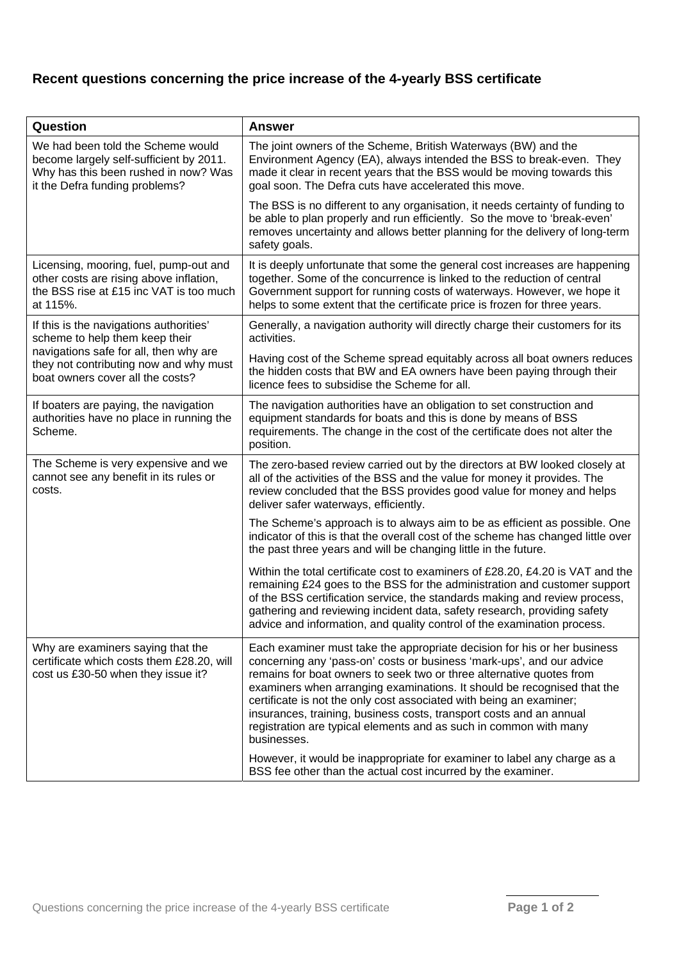## **Recent questions concerning the price increase of the 4-yearly BSS certificate**

| Question                                                                                                                                                                                          | <b>Answer</b>                                                                                                                                                                                                                                                                                                                                                                                                                                                                                                                          |  |  |
|---------------------------------------------------------------------------------------------------------------------------------------------------------------------------------------------------|----------------------------------------------------------------------------------------------------------------------------------------------------------------------------------------------------------------------------------------------------------------------------------------------------------------------------------------------------------------------------------------------------------------------------------------------------------------------------------------------------------------------------------------|--|--|
| We had been told the Scheme would<br>become largely self-sufficient by 2011.<br>Why has this been rushed in now? Was<br>it the Defra funding problems?                                            | The joint owners of the Scheme, British Waterways (BW) and the<br>Environment Agency (EA), always intended the BSS to break-even. They<br>made it clear in recent years that the BSS would be moving towards this<br>goal soon. The Defra cuts have accelerated this move.                                                                                                                                                                                                                                                             |  |  |
|                                                                                                                                                                                                   | The BSS is no different to any organisation, it needs certainty of funding to<br>be able to plan properly and run efficiently. So the move to 'break-even'<br>removes uncertainty and allows better planning for the delivery of long-term<br>safety goals.                                                                                                                                                                                                                                                                            |  |  |
| Licensing, mooring, fuel, pump-out and<br>other costs are rising above inflation,<br>the BSS rise at £15 inc VAT is too much<br>at 115%.                                                          | It is deeply unfortunate that some the general cost increases are happening<br>together. Some of the concurrence is linked to the reduction of central<br>Government support for running costs of waterways. However, we hope it<br>helps to some extent that the certificate price is frozen for three years.                                                                                                                                                                                                                         |  |  |
| If this is the navigations authorities'<br>scheme to help them keep their<br>navigations safe for all, then why are<br>they not contributing now and why must<br>boat owners cover all the costs? | Generally, a navigation authority will directly charge their customers for its<br>activities.                                                                                                                                                                                                                                                                                                                                                                                                                                          |  |  |
|                                                                                                                                                                                                   | Having cost of the Scheme spread equitably across all boat owners reduces<br>the hidden costs that BW and EA owners have been paying through their<br>licence fees to subsidise the Scheme for all.                                                                                                                                                                                                                                                                                                                                    |  |  |
| If boaters are paying, the navigation<br>authorities have no place in running the<br>Scheme.                                                                                                      | The navigation authorities have an obligation to set construction and<br>equipment standards for boats and this is done by means of BSS<br>requirements. The change in the cost of the certificate does not alter the<br>position.                                                                                                                                                                                                                                                                                                     |  |  |
| The Scheme is very expensive and we<br>cannot see any benefit in its rules or<br>costs.                                                                                                           | The zero-based review carried out by the directors at BW looked closely at<br>all of the activities of the BSS and the value for money it provides. The<br>review concluded that the BSS provides good value for money and helps<br>deliver safer waterways, efficiently.                                                                                                                                                                                                                                                              |  |  |
|                                                                                                                                                                                                   | The Scheme's approach is to always aim to be as efficient as possible. One<br>indicator of this is that the overall cost of the scheme has changed little over<br>the past three years and will be changing little in the future.                                                                                                                                                                                                                                                                                                      |  |  |
|                                                                                                                                                                                                   | Within the total certificate cost to examiners of £28.20, £4.20 is VAT and the<br>remaining £24 goes to the BSS for the administration and customer support<br>of the BSS certification service, the standards making and review process,<br>gathering and reviewing incident data, safety research, providing safety<br>advice and information, and quality control of the examination process.                                                                                                                                       |  |  |
| Why are examiners saying that the<br>certificate which costs them £28.20, will<br>cost us £30-50 when they issue it?                                                                              | Each examiner must take the appropriate decision for his or her business<br>concerning any 'pass-on' costs or business 'mark-ups', and our advice<br>remains for boat owners to seek two or three alternative quotes from<br>examiners when arranging examinations. It should be recognised that the<br>certificate is not the only cost associated with being an examiner;<br>insurances, training, business costs, transport costs and an annual<br>registration are typical elements and as such in common with many<br>businesses. |  |  |
|                                                                                                                                                                                                   | However, it would be inappropriate for examiner to label any charge as a<br>BSS fee other than the actual cost incurred by the examiner.                                                                                                                                                                                                                                                                                                                                                                                               |  |  |